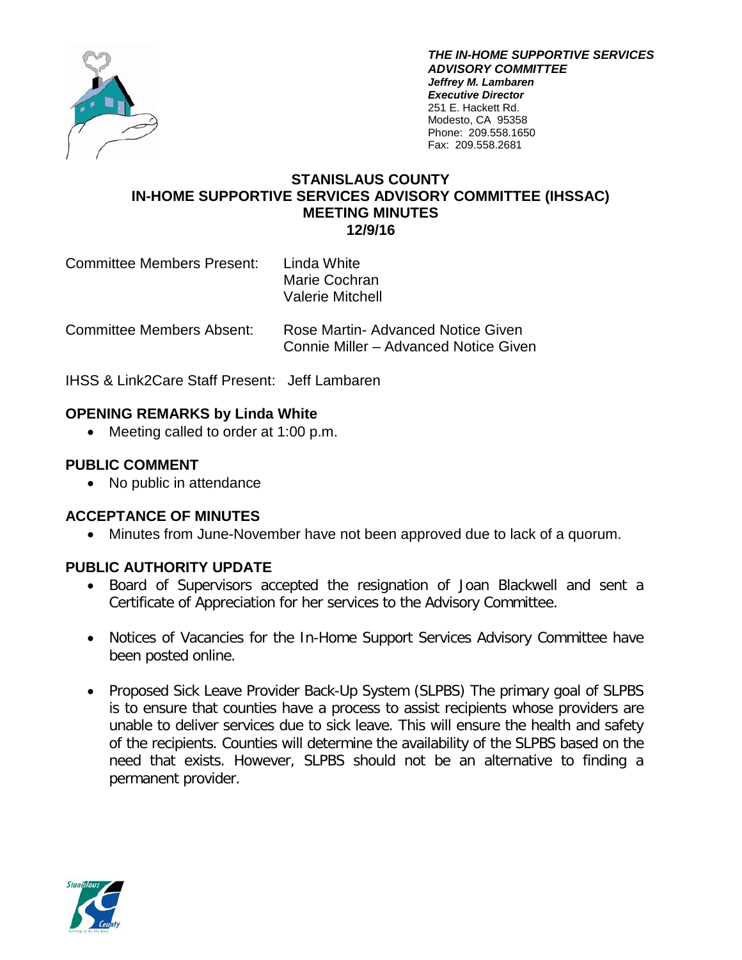

*THE IN-HOME SUPPORTIVE SERVICES ADVISORY COMMITTEE Jeffrey M. Lambaren Executive Director* 251 E. Hackett Rd. Modesto, CA 95358 Phone: 209.558.1650 Fax: 209.558.2681

## **STANISLAUS COUNTY IN-HOME SUPPORTIVE SERVICES ADVISORY COMMITTEE (IHSSAC) MEETING MINUTES 12/9/16**

Committee Members Present: Linda White

Marie Cochran Valerie Mitchell

Committee Members Absent: Rose Martin- Advanced Notice Given Connie Miller – Advanced Notice Given

IHSS & Link2Care Staff Present: Jeff Lambaren

## **OPENING REMARKS by Linda White**

• Meeting called to order at 1:00 p.m.

# **PUBLIC COMMENT**

• No public in attendance

## **ACCEPTANCE OF MINUTES**

• Minutes from June-November have not been approved due to lack of a quorum.

## **PUBLIC AUTHORITY UPDATE**

- Board of Supervisors accepted the resignation of Joan Blackwell and sent a Certificate of Appreciation for her services to the Advisory Committee.
- Notices of Vacancies for the In-Home Support Services Advisory Committee have been posted online.
- Proposed Sick Leave Provider Back-Up System (SLPBS) The primary goal of SLPBS is to ensure that counties have a process to assist recipients whose providers are unable to deliver services due to sick leave. This will ensure the health and safety of the recipients. Counties will determine the availability of the SLPBS based on the need that exists. However, SLPBS should not be an alternative to finding a permanent provider.

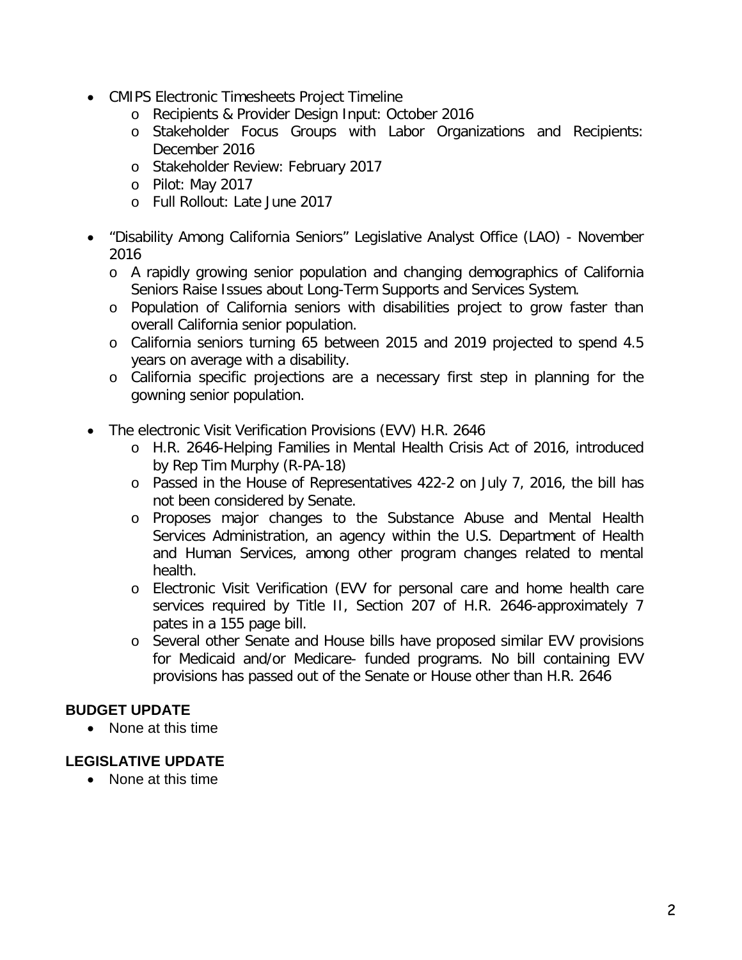- CMIPS Electronic Timesheets Project Timeline
	- o Recipients & Provider Design Input: October 2016
	- o Stakeholder Focus Groups with Labor Organizations and Recipients: December 2016
	- o Stakeholder Review: February 2017
	- o Pilot: May 2017
	- o Full Rollout: Late June 2017
- "Disability Among California Seniors" Legislative Analyst Office (LAO) November 2016
	- o A rapidly growing senior population and changing demographics of California Seniors Raise Issues about Long-Term Supports and Services System.
	- o Population of California seniors with disabilities project to grow faster than overall California senior population.
	- o California seniors turning 65 between 2015 and 2019 projected to spend 4.5 years on average with a disability.
	- o California specific projections are a necessary first step in planning for the gowning senior population.
- The electronic Visit Verification Provisions (EVV) H.R. 2646
	- o H.R. 2646-Helping Families in Mental Health Crisis Act of 2016, introduced by Rep Tim Murphy (R-PA-18)
	- o Passed in the House of Representatives 422-2 on July 7, 2016, the bill has not been considered by Senate.
	- o Proposes major changes to the Substance Abuse and Mental Health Services Administration, an agency within the U.S. Department of Health and Human Services, among other program changes related to mental health.
	- o Electronic Visit Verification (EVV for personal care and home health care services required by Title II, Section 207 of H.R. 2646-approximately 7 pates in a 155 page bill.
	- o Several other Senate and House bills have proposed similar EVV provisions for Medicaid and/or Medicare- funded programs. No bill containing EVV provisions has passed out of the Senate or House other than H.R. 2646

## **BUDGET UPDATE**

• None at this time

## **LEGISLATIVE UPDATE**

• None at this time